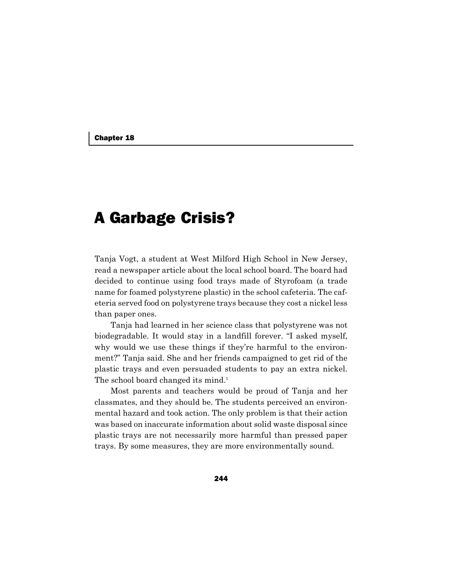# A Garbage Crisis?

Tanja Vogt, a student at West Milford High School in New Jersey, read a newspaper article about the local school board. The board had decided to continue using food trays made of Styrofoam (a trade name for foamed polystyrene plastic) in the school cafeteria. The cafeteria served food on polystyrene trays because they cost a nickel less than paper ones.

Tanja had learned in her science class that polystyrene was not biodegradable. It would stay in a landfill forever. "I asked myself, why would we use these things if they're harmful to the environment?" Tanja said. She and her friends campaigned to get rid of the plastic trays and even persuaded students to pay an extra nickel. The school board changed its mind.<sup>1</sup>

Most parents and teachers would be proud of Tanja and her classmates, and they should be. The students perceived an environmental hazard and took action. The only problem is that their action was based on inaccurate information about solid waste disposal since plastic trays are not necessarily more harmful than pressed paper trays. By some measures, they are more environmentally sound.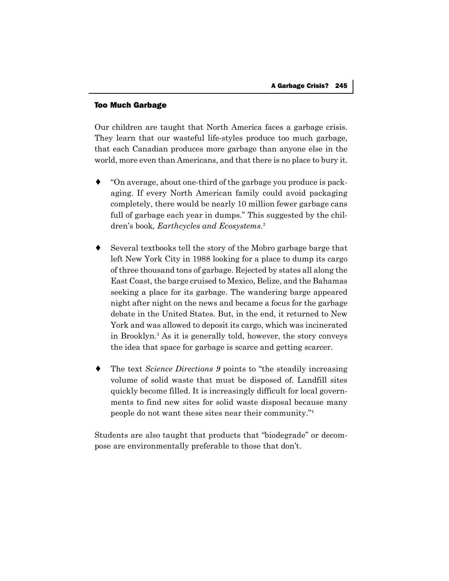## Too Much Garbage

Our children are taught that North America faces a garbage crisis. They learn that our wasteful life-styles produce too much garbage, that each Canadian produces more garbage than anyone else in the world, more even than Americans, and that there is no place to bury it.

- "On average, about one-third of the garbage you produce is packaging. If every North American family could avoid packaging completely, there would be nearly 10 million fewer garbage cans full of garbage each year in dumps." This suggested by the children's book*, Earthcycles and Ecosystems*. 2
- Several textbooks tell the story of the Mobro garbage barge that left New York City in 1988 looking for a place to dump its cargo of three thousand tons of garbage. Rejected by states all along the East Coast, the barge cruised to Mexico, Belize, and the Bahamas seeking a place for its garbage. The wandering barge appeared night after night on the news and became a focus for the garbage debate in the United States. But, in the end, it returned to New York and was allowed to deposit its cargo, which was incinerated in Brooklyn.3 As it is generally told, however, the story conveys the idea that space for garbage is scarce and getting scarcer.
- ♦ The text *Science Directions 9* points to "the steadily increasing volume of solid waste that must be disposed of. Landfill sites quickly become filled. It is increasingly difficult for local governments to find new sites for solid waste disposal because many people do not want these sites near their community."4

Students are also taught that products that "biodegrade" or decompose are environmentally preferable to those that don't.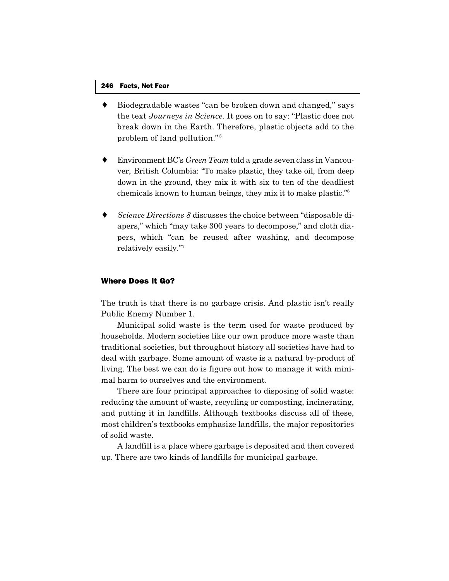- Biodegradable wastes "can be broken down and changed," says the text *Journeys in Science*. It goes on to say: "Plastic does not break down in the Earth. Therefore, plastic objects add to the problem of land pollution." <sup>5</sup>
- ♦ Environment BC's *Green Team* told a grade seven class in Vancouver, British Columbia: "To make plastic, they take oil, from deep down in the ground, they mix it with six to ten of the deadliest chemicals known to human beings, they mix it to make plastic."6
- Science Directions 8 discusses the choice between "disposable diapers," which "may take 300 years to decompose," and cloth diapers, which "can be reused after washing, and decompose relatively easily."7

## Where Does It Go?

The truth is that there is no garbage crisis. And plastic isn't really Public Enemy Number 1.

Municipal solid waste is the term used for waste produced by households. Modern societies like our own produce more waste than traditional societies, but throughout history all societies have had to deal with garbage. Some amount of waste is a natural by-product of living. The best we can do is figure out how to manage it with minimal harm to ourselves and the environment.

There are four principal approaches to disposing of solid waste: reducing the amount of waste, recycling or composting, incinerating, and putting it in landfills. Although textbooks discuss all of these, most children's textbooks emphasize landfills, the major repositories of solid waste.

A landfill is a place where garbage is deposited and then covered up. There are two kinds of landfills for municipal garbage.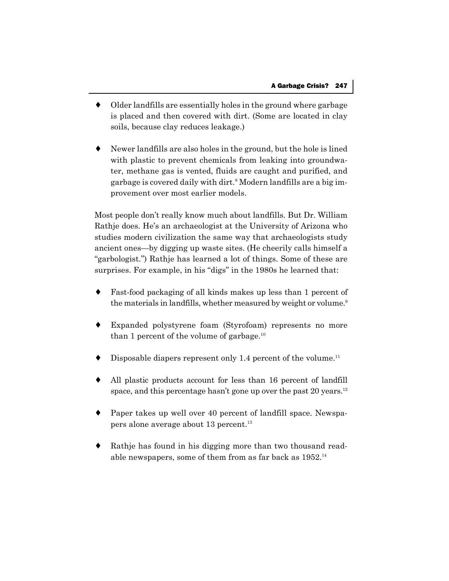- Older landfills are essentially holes in the ground where garbage is placed and then covered with dirt. (Some are located in clay soils, because clay reduces leakage.)
- Newer landfills are also holes in the ground, but the hole is lined with plastic to prevent chemicals from leaking into groundwater, methane gas is vented, fluids are caught and purified, and garbage is covered daily with dirt.<sup>8</sup> Modern landfills are a big improvement over most earlier models.

Most people don't really know much about landfills. But Dr. William Rathje does. He's an archaeologist at the University of Arizona who studies modern civilization the same way that archaeologists study ancient ones—by digging up waste sites. (He cheerily calls himself a "garbologist.") Rathje has learned a lot of things. Some of these are surprises. For example, in his "digs" in the 1980s he learned that:

- Fast-food packaging of all kinds makes up less than 1 percent of the materials in landfills, whether measured by weight or volume.<sup>9</sup>
- Expanded polystyrene foam (Styrofoam) represents no more than 1 percent of the volume of garbage.<sup>10</sup>
- Disposable diapers represent only 1.4 percent of the volume.<sup>11</sup>
- ♦ All plastic products account for less than 16 percent of landfill space, and this percentage hasn't gone up over the past 20 years.<sup>12</sup>
- Paper takes up well over 40 percent of landfill space. Newspapers alone average about 13 percent.13
- Rathje has found in his digging more than two thousand readable newspapers, some of them from as far back as 1952.14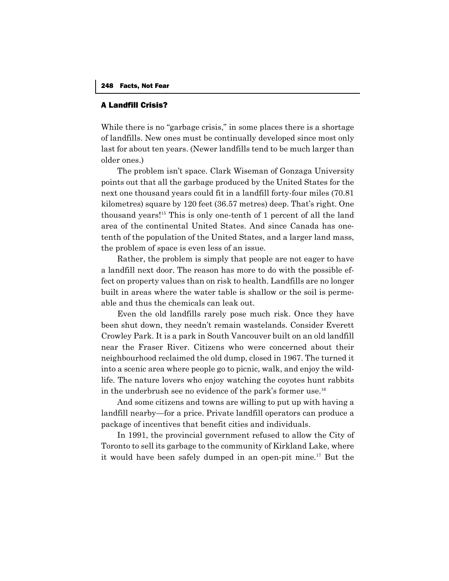### A Landfill Crisis?

While there is no "garbage crisis," in some places there is a shortage of landfills. New ones must be continually developed since most only last for about ten years. (Newer landfills tend to be much larger than older ones.)

The problem isn't space. Clark Wiseman of Gonzaga University points out that all the garbage produced by the United States for the next one thousand years could fit in a landfill forty-four miles (70.81 kilometres) square by 120 feet (36.57 metres) deep. That's right. One thousand years!15 This is only one-tenth of 1 percent of all the land area of the continental United States. And since Canada has onetenth of the population of the United States, and a larger land mass, the problem of space is even less of an issue.

Rather, the problem is simply that people are not eager to have a landfill next door. The reason has more to do with the possible effect on property values than on risk to health. Landfills are no longer built in areas where the water table is shallow or the soil is permeable and thus the chemicals can leak out.

Even the old landfills rarely pose much risk. Once they have been shut down, they needn't remain wastelands. Consider Everett Crowley Park. It is a park in South Vancouver built on an old landfill near the Fraser River. Citizens who were concerned about their neighbourhood reclaimed the old dump, closed in 1967. The turned it into a scenic area where people go to picnic, walk, and enjoy the wildlife. The nature lovers who enjoy watching the coyotes hunt rabbits in the underbrush see no evidence of the park's former use.<sup>16</sup>

And some citizens and towns are willing to put up with having a landfill nearby—for a price. Private landfill operators can produce a package of incentives that benefit cities and individuals.

In 1991, the provincial government refused to allow the City of Toronto to sell its garbage to the community of Kirkland Lake, where it would have been safely dumped in an open-pit mine.<sup>17</sup> But the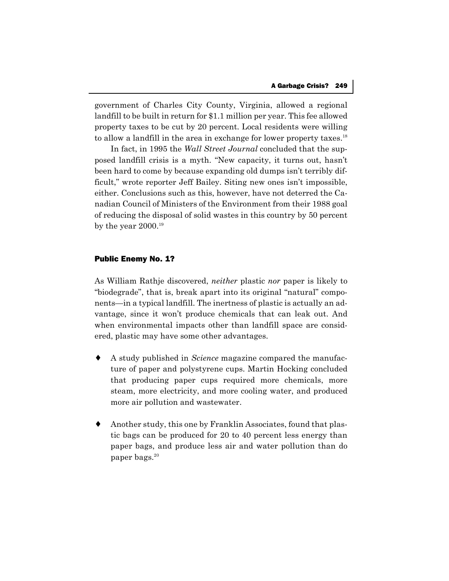government of Charles City County, Virginia, allowed a regional landfill to be built in return for \$1.1 million per year. This fee allowed property taxes to be cut by 20 percent. Local residents were willing to allow a landfill in the area in exchange for lower property taxes.<sup>18</sup>

In fact, in 1995 the *Wall Street Journal* concluded that the supposed landfill crisis is a myth. "New capacity, it turns out, hasn't been hard to come by because expanding old dumps isn't terribly difficult," wrote reporter Jeff Bailey. Siting new ones isn't impossible, either. Conclusions such as this, however, have not deterred the Canadian Council of Ministers of the Environment from their 1988 goal of reducing the disposal of solid wastes in this country by 50 percent by the year  $2000.^{19}$ 

# Public Enemy No. 1?

As William Rathje discovered, *neither* plastic *nor* paper is likely to "biodegrade", that is, break apart into its original "natural" components—in a typical landfill. The inertness of plastic is actually an advantage, since it won't produce chemicals that can leak out. And when environmental impacts other than landfill space are considered, plastic may have some other advantages.

- ♦ A study published in *Science* magazine compared the manufacture of paper and polystyrene cups. Martin Hocking concluded that producing paper cups required more chemicals, more steam, more electricity, and more cooling water, and produced more air pollution and wastewater.
- Another study, this one by Franklin Associates, found that plastic bags can be produced for 20 to 40 percent less energy than paper bags, and produce less air and water pollution than do paper bags.<sup>20</sup>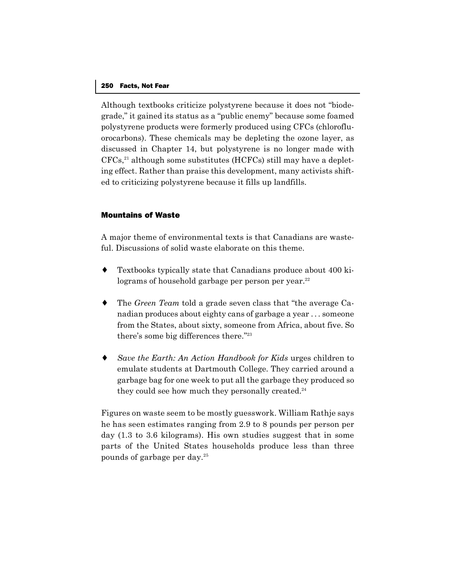#### 250 Facts, Not Fear

Although textbooks criticize polystyrene because it does not "biodegrade," it gained its status as a "public enemy" because some foamed polystyrene products were formerly produced using CFCs (chlorofluorocarbons). These chemicals may be depleting the ozone layer, as discussed in Chapter 14, but polystyrene is no longer made with  $CFCs<sup>21</sup>$  although some substitutes (HCFCs) still may have a depleting effect. Rather than praise this development, many activists shifted to criticizing polystyrene because it fills up landfills.

# Mountains of Waste

A major theme of environmental texts is that Canadians are wasteful. Discussions of solid waste elaborate on this theme.

- Textbooks typically state that Canadians produce about 400 kilograms of household garbage per person per year. $^{22}$
- ♦ The *Green Team* told a grade seven class that "the average Canadian produces about eighty cans of garbage a year . . . someone from the States, about sixty, someone from Africa, about five. So there's some big differences there."23
- Save the Earth: An Action Handbook for Kids urges children to emulate students at Dartmouth College. They carried around a garbage bag for one week to put all the garbage they produced so they could see how much they personally created.<sup>24</sup>

Figures on waste seem to be mostly guesswork. William Rathje says he has seen estimates ranging from 2.9 to 8 pounds per person per day (1.3 to 3.6 kilograms). His own studies suggest that in some parts of the United States households produce less than three pounds of garbage per day.25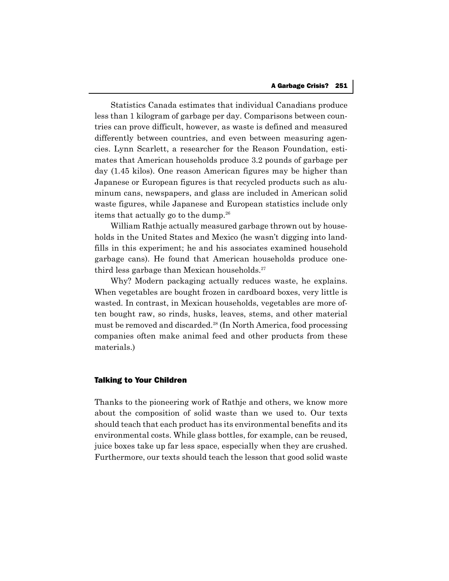Statistics Canada estimates that individual Canadians produce less than 1 kilogram of garbage per day. Comparisons between countries can prove difficult, however, as waste is defined and measured differently between countries, and even between measuring agencies. Lynn Scarlett, a researcher for the Reason Foundation, estimates that American households produce 3.2 pounds of garbage per day (1.45 kilos). One reason American figures may be higher than Japanese or European figures is that recycled products such as aluminum cans, newspapers, and glass are included in American solid waste figures, while Japanese and European statistics include only items that actually go to the dump.<sup>26</sup>

William Rathje actually measured garbage thrown out by households in the United States and Mexico (he wasn't digging into landfills in this experiment; he and his associates examined household garbage cans). He found that American households produce onethird less garbage than Mexican households. $27$ 

Why? Modern packaging actually reduces waste, he explains. When vegetables are bought frozen in cardboard boxes, very little is wasted. In contrast, in Mexican households, vegetables are more often bought raw, so rinds, husks, leaves, stems, and other material must be removed and discarded.28 (In North America, food processing companies often make animal feed and other products from these materials.)

### Talking to Your Children

Thanks to the pioneering work of Rathje and others, we know more about the composition of solid waste than we used to. Our texts should teach that each product has its environmental benefits and its environmental costs. While glass bottles, for example, can be reused, juice boxes take up far less space, especially when they are crushed. Furthermore, our texts should teach the lesson that good solid waste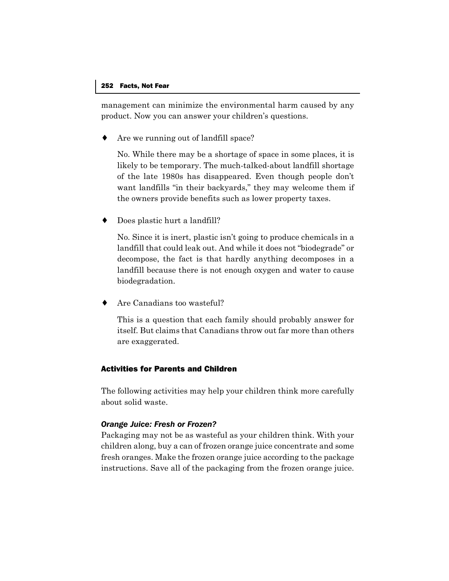management can minimize the environmental harm caused by any product. Now you can answer your children's questions.

Are we running out of landfill space?

No. While there may be a shortage of space in some places, it is likely to be temporary. The much-talked-about landfill shortage of the late 1980s has disappeared. Even though people don't want landfills "in their backyards," they may welcome them if the owners provide benefits such as lower property taxes.

Does plastic hurt a landfill?

No. Since it is inert, plastic isn't going to produce chemicals in a landfill that could leak out. And while it does not "biodegrade" or decompose, the fact is that hardly anything decomposes in a landfill because there is not enough oxygen and water to cause biodegradation.

Are Canadians too wasteful?

This is a question that each family should probably answer for itself. But claims that Canadians throw out far more than others are exaggerated.

# Activities for Parents and Children

The following activities may help your children think more carefully about solid waste.

# *Orange Juice: Fresh or Frozen?*

Packaging may not be as wasteful as your children think. With your children along, buy a can of frozen orange juice concentrate and some fresh oranges. Make the frozen orange juice according to the package instructions. Save all of the packaging from the frozen orange juice.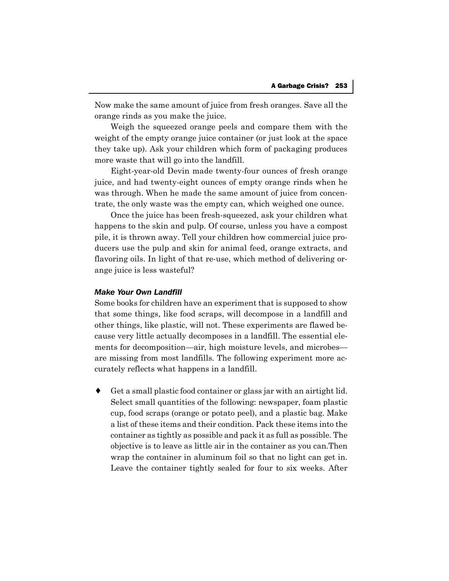Now make the same amount of juice from fresh oranges. Save all the orange rinds as you make the juice.

Weigh the squeezed orange peels and compare them with the weight of the empty orange juice container (or just look at the space they take up). Ask your children which form of packaging produces more waste that will go into the landfill.

Eight-year-old Devin made twenty-four ounces of fresh orange juice, and had twenty-eight ounces of empty orange rinds when he was through. When he made the same amount of juice from concentrate, the only waste was the empty can, which weighed one ounce.

Once the juice has been fresh-squeezed, ask your children what happens to the skin and pulp. Of course, unless you have a compost pile, it is thrown away. Tell your children how commercial juice producers use the pulp and skin for animal feed, orange extracts, and flavoring oils. In light of that re-use, which method of delivering orange juice is less wasteful?

### *Make Your Own Landfill*

Some books for children have an experiment that is supposed to show that some things, like food scraps, will decompose in a landfill and other things, like plastic, will not. These experiments are flawed because very little actually decomposes in a landfill. The essential elements for decomposition—air, high moisture levels, and microbes are missing from most landfills. The following experiment more accurately reflects what happens in a landfill.

♦ Get a small plastic food container or glass jar with an airtight lid. Select small quantities of the following: newspaper, foam plastic cup, food scraps (orange or potato peel), and a plastic bag. Make a list of these items and their condition. Pack these items into the container as tightly as possible and pack it as full as possible. The objective is to leave as little air in the container as you can.Then wrap the container in aluminum foil so that no light can get in. Leave the container tightly sealed for four to six weeks. After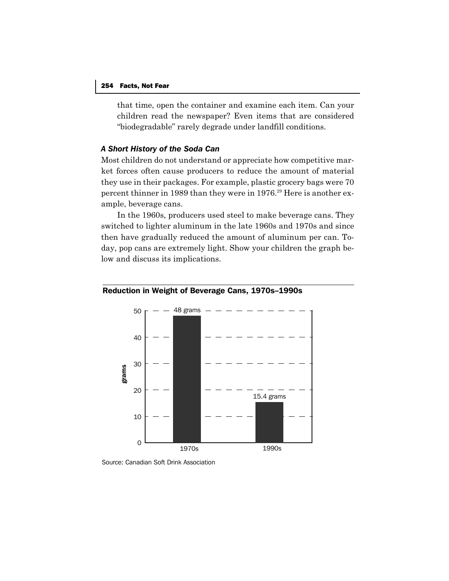that time, open the container and examine each item. Can your children read the newspaper? Even items that are considered "biodegradable" rarely degrade under landfill conditions.

### *A Short History of the Soda Can*

Most children do not understand or appreciate how competitive market forces often cause producers to reduce the amount of material they use in their packages. For example, plastic grocery bags were 70 percent thinner in 1989 than they were in 1976.<sup>29</sup> Here is another example, beverage cans.

In the 1960s, producers used steel to make beverage cans. They switched to lighter aluminum in the late 1960s and 1970s and since then have gradually reduced the amount of aluminum per can. Today, pop cans are extremely light. Show your children the graph below and discuss its implications.





Source: Canadian Soft Drink Association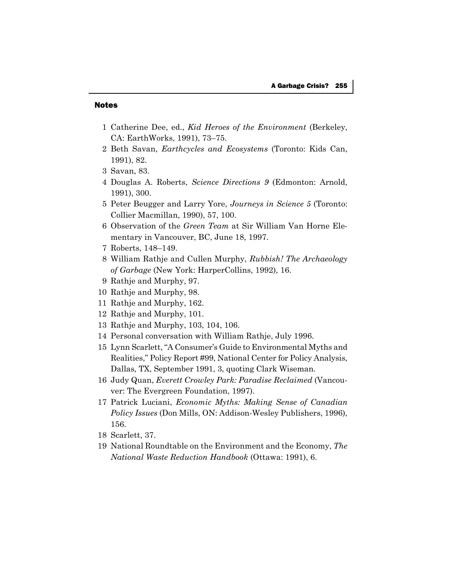#### Notes

- 1 Catherine Dee, ed., *Kid Heroes of the Environment* (Berkeley, CA: EarthWorks, 1991), 73–75.
- 2 Beth Savan, *Earthcycles and Ecosystems* (Toronto: Kids Can, 1991), 82.
- 3 Savan, 83.
- 4 Douglas A. Roberts, *Science Directions 9* (Edmonton: Arnold, 1991), 300.
- 5 Peter Beugger and Larry Yore, *Journeys in Science 5* (Toronto: Collier Macmillan, 1990), 57, 100.
- 6 Observation of the *Green Team* at Sir William Van Horne Elementary in Vancouver, BC, June 18, 1997.
- 7 Roberts, 148–149.
- 8 William Rathje and Cullen Murphy, *Rubbish! The Archaeology of Garbage* (New York: HarperCollins, 1992), 16.
- 9 Rathje and Murphy, 97.
- 10 Rathje and Murphy, 98.
- 11 Rathje and Murphy, 162.
- 12 Rathje and Murphy, 101.
- 13 Rathje and Murphy, 103, 104, 106.
- 14 Personal conversation with William Rathje, July 1996.
- 15 Lynn Scarlett, "A Consumer's Guide to Environmental Myths and Realities," Policy Report #99, National Center for Policy Analysis, Dallas, TX, September 1991, 3, quoting Clark Wiseman.
- 16 Judy Quan, *Everett Crowley Park: Paradise Reclaimed* (Vancouver: The Evergreen Foundation, 1997).
- 17 Patrick Luciani, *Economic Myths: Making Sense of Canadian Policy Issues* (Don Mills, ON: Addison-Wesley Publishers, 1996), 156.
- 18 Scarlett, 37.
- 19 National Roundtable on the Environment and the Economy, *The National Waste Reduction Handbook* (Ottawa: 1991), 6.